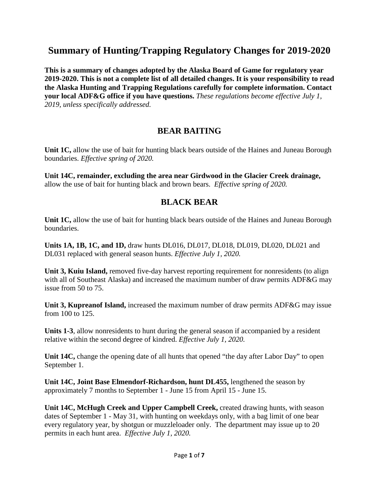# **Summary of Hunting/Trapping Regulatory Changes for 2019-2020**

**This is a summary of changes adopted by the Alaska Board of Game for regulatory year 2019-2020. This is not a complete list of all detailed changes. It is your responsibility to read the Alaska Hunting and Trapping Regulations carefully for complete information. Contact your local ADF&G office if you have questions.** *These regulations become effective July 1, 2019, unless specifically addressed.* 

## **BEAR BAITING**

**Unit 1C,** allow the use of bait for hunting black bears outside of the Haines and Juneau Borough boundaries. *Effective spring of 2020.*

**Unit 14C, remainder, excluding the area near Girdwood in the Glacier Creek drainage,** allow the use of bait for hunting black and brown bears. *Effective spring of 2020.*

## **BLACK BEAR**

**Unit 1C,** allow the use of bait for hunting black bears outside of the Haines and Juneau Borough boundaries.

**Units 1A, 1B, 1C, and 1D,** draw hunts DL016, DL017, DL018, DL019, DL020, DL021 and DL031 replaced with general season hunts. *Effective July 1, 2020.*

**Unit 3, Kuiu Island,** removed five-day harvest reporting requirement for nonresidents (to align with all of Southeast Alaska) and increased the maximum number of draw permits ADF&G may issue from 50 to 75.

**Unit 3, Kupreanof Island,** increased the maximum number of draw permits ADF&G may issue from 100 to 125.

**Units 1-3**, allow nonresidents to hunt during the general season if accompanied by a resident relative within the second degree of kindred. *Effective July 1, 2020.*

**Unit 14C,** change the opening date of all hunts that opened "the day after Labor Day" to open September 1.

**Unit 14C, Joint Base Elmendorf-Richardson, hunt DL455,** lengthened the season by approximately 7 months to September 1 - June 15 from April 15 - June 15.

**Unit 14C, McHugh Creek and Upper Campbell Creek,** created drawing hunts, with season dates of September 1 - May 31, with hunting on weekdays only, with a bag limit of one bear every regulatory year, by shotgun or muzzleloader only. The department may issue up to 20 permits in each hunt area. *Effective July 1, 2020.*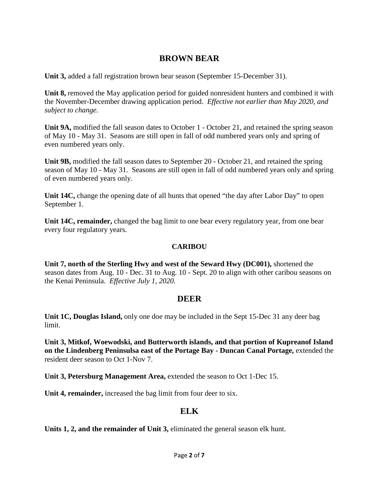## **BROWN BEAR**

**Unit 3,** added a fall registration brown bear season (September 15-December 31).

Unit 8, removed the May application period for guided nonresident hunters and combined it with the November-December drawing application period. *Effective not earlier than May 2020, and subject to change.*

**Unit 9A,** modified the fall season dates to October 1 - October 21, and retained the spring season of May 10 - May 31. Seasons are still open in fall of odd numbered years only and spring of even numbered years only.

**Unit 9B,** modified the fall season dates to September 20 - October 21, and retained the spring season of May 10 - May 31. Seasons are still open in fall of odd numbered years only and spring of even numbered years only.

**Unit 14C,** change the opening date of all hunts that opened "the day after Labor Day" to open September 1.

**Unit 14C, remainder,** changed the bag limit to one bear every regulatory year, from one bear every four regulatory years.

### **CARIBOU**

**Unit 7, north of the Sterling Hwy and west of the Seward Hwy (DC001),** shortened the season dates from Aug. 10 - Dec. 31 to Aug. 10 - Sept. 20 to align with other caribou seasons on the Kenai Peninsula. *Effective July 1, 2020.*

### **DEER**

**Unit 1C, Douglas Island,** only one doe may be included in the Sept 15-Dec 31 any deer bag limit.

**Unit 3, Mitkof, Woewodski, and Butterworth islands, and that portion of Kupreanof Island on the Lindenberg Peninsulsa east of the Portage Bay - Duncan Canal Portage,** extended the resident deer season to Oct 1-Nov 7.

**Unit 3, Petersburg Management Area,** extended the season to Oct 1-Dec 15.

**Unit 4, remainder,** increased the bag limit from four deer to six.

## **ELK**

**Units 1, 2, and the remainder of Unit 3,** eliminated the general season elk hunt.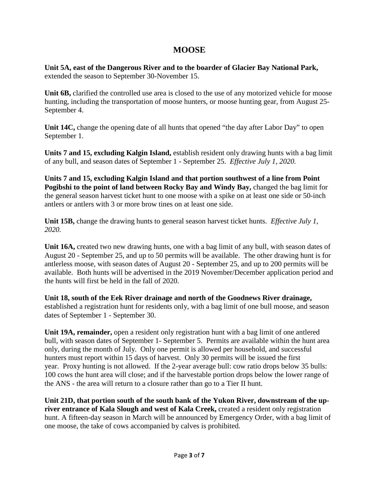## **MOOSE**

**Unit 5A, east of the Dangerous River and to the boarder of Glacier Bay National Park,** extended the season to September 30-November 15.

**Unit 6B,** clarified the controlled use area is closed to the use of any motorized vehicle for moose hunting, including the transportation of moose hunters, or moose hunting gear, from August 25- September 4.

**Unit 14C,** change the opening date of all hunts that opened "the day after Labor Day" to open September 1.

**Units 7 and 15, excluding Kalgin Island,** establish resident only drawing hunts with a bag limit of any bull, and season dates of September 1 - September 25. *Effective July 1, 2020.*

**Units 7 and 15, excluding Kalgin Island and that portion southwest of a line from Point Pogibshi to the point of land between Rocky Bay and Windy Bay,** changed the bag limit for the general season harvest ticket hunt to one moose with a spike on at least one side or 50-inch antlers or antlers with 3 or more brow tines on at least one side.

**Unit 15B,** change the drawing hunts to general season harvest ticket hunts. *Effective July 1, 2020.*

**Unit 16A,** created two new drawing hunts, one with a bag limit of any bull, with season dates of August 20 - September 25, and up to 50 permits will be available. The other drawing hunt is for antlerless moose, with season dates of August 20 - September 25, and up to 200 permits will be available. Both hunts will be advertised in the 2019 November/December application period and the hunts will first be held in the fall of 2020.

**Unit 18, south of the Eek River drainage and north of the Goodnews River drainage,**  established a registration hunt for residents only, with a bag limit of one bull moose, and season dates of September 1 - September 30.

**Unit 19A, remainder,** open a resident only registration hunt with a bag limit of one antlered bull, with season dates of September 1- September 5. Permits are available within the hunt area only, during the month of July. Only one permit is allowed per household, and successful hunters must report within 15 days of harvest. Only 30 permits will be issued the first year. Proxy hunting is not allowed. If the 2-year average bull: cow ratio drops below 35 bulls: 100 cows the hunt area will close; and if the harvestable portion drops below the lower range of the ANS - the area will return to a closure rather than go to a Tier II hunt.

**Unit 21D, that portion south of the south bank of the Yukon River, downstream of the upriver entrance of Kala Slough and west of Kala Creek,** created a resident only registration hunt. A fifteen-day season in March will be announced by Emergency Order, with a bag limit of one moose, the take of cows accompanied by calves is prohibited.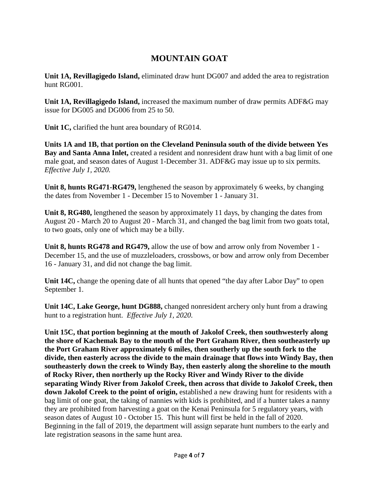## **MOUNTAIN GOAT**

**Unit 1A, Revillagigedo Island,** eliminated draw hunt DG007 and added the area to registration hunt RG001.

**Unit 1A, Revillagigedo Island,** increased the maximum number of draw permits ADF&G may issue for DG005 and DG006 from 25 to 50.

**Unit 1C,** clarified the hunt area boundary of RG014.

**Units 1A and 1B, that portion on the Cleveland Peninsula south of the divide between Yes Bay and Santa Anna Inlet,** created a resident and nonresident draw hunt with a bag limit of one male goat, and season dates of August 1-December 31. ADF&G may issue up to six permits. *Effective July 1, 2020.*

**Unit 8, hunts RG471-RG479,** lengthened the season by approximately 6 weeks, by changing the dates from November 1 - December 15 to November 1 - January 31.

**Unit 8, RG480,** lengthened the season by approximately 11 days, by changing the dates from August 20 - March 20 to August 20 - March 31, and changed the bag limit from two goats total, to two goats, only one of which may be a billy.

**Unit 8, hunts RG478 and RG479,** allow the use of bow and arrow only from November 1 - December 15, and the use of muzzleloaders, crossbows, or bow and arrow only from December 16 - January 31, and did not change the bag limit.

**Unit 14C,** change the opening date of all hunts that opened "the day after Labor Day" to open September 1.

**Unit 14C, Lake George, hunt DG888,** changed nonresident archery only hunt from a drawing hunt to a registration hunt. *Effective July 1, 2020.*

**Unit 15C, that portion beginning at the mouth of Jakolof Creek, then southwesterly along the shore of Kachemak Bay to the mouth of the Port Graham River, then southeasterly up the Port Graham River approximately 6 miles, then southerly up the south fork to the divide, then easterly across the divide to the main drainage that flows into Windy Bay, then southeasterly down the creek to Windy Bay, then easterly along the shoreline to the mouth of Rocky River, then northerly up the Rocky River and Windy River to the divide separating Windy River from Jakolof Creek, then across that divide to Jakolof Creek, then down Jakolof Creek to the point of origin,** established a new drawing hunt for residents with a bag limit of one goat, the taking of nannies with kids is prohibited, and if a hunter takes a nanny they are prohibited from harvesting a goat on the Kenai Peninsula for 5 regulatory years, with season dates of August 10 - October 15. This hunt will first be held in the fall of 2020. Beginning in the fall of 2019, the department will assign separate hunt numbers to the early and late registration seasons in the same hunt area.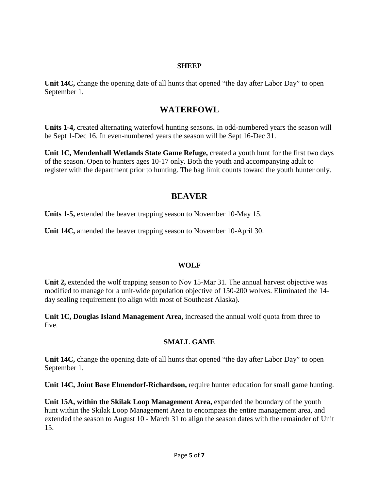#### **SHEEP**

**Unit 14C,** change the opening date of all hunts that opened "the day after Labor Day" to open September 1.

### **WATERFOWL**

**Units 1-4,** created alternating waterfowl hunting seasons**.** In odd-numbered years the season will be Sept 1-Dec 16. In even-numbered years the season will be Sept 16-Dec 31.

**Unit 1C, Mendenhall Wetlands State Game Refuge,** created a youth hunt for the first two days of the season. Open to hunters ages 10-17 only. Both the youth and accompanying adult to register with the department prior to hunting. The bag limit counts toward the youth hunter only.

## **BEAVER**

**Units 1-5,** extended the beaver trapping season to November 10-May 15.

**Unit 14C,** amended the beaver trapping season to November 10-April 30.

#### **WOLF**

Unit 2, extended the wolf trapping season to Nov 15-Mar 31. The annual harvest objective was modified to manage for a unit-wide population objective of 150-200 wolves. Eliminated the 14 day sealing requirement (to align with most of Southeast Alaska).

**Unit 1C, Douglas Island Management Area,** increased the annual wolf quota from three to five.

### **SMALL GAME**

Unit 14C, change the opening date of all hunts that opened "the day after Labor Day" to open September 1.

**Unit 14C, Joint Base Elmendorf-Richardson,** require hunter education for small game hunting.

**Unit 15A, within the Skilak Loop Management Area,** expanded the boundary of the youth hunt within the Skilak Loop Management Area to encompass the entire management area, and extended the season to August 10 - March 31 to align the season dates with the remainder of Unit 15.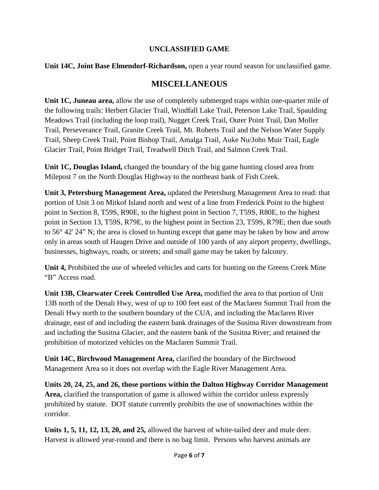### **UNCLASSIFIED GAME**

### **Unit 14C, Joint Base Elmendorf-Richardson,** open a year round season for unclassified game.

## **MISCELLANEOUS**

**Unit 1C, Juneau area,** allow the use of completely submerged traps within one-quarter mile of the following trails: Herbert Glacier Trail, Windfall Lake Trail, Peterson Lake Trail, Spaulding Meadows Trail (including the loop trail), Nugget Creek Trail, Outer Point Trail, Dan Moller Trail, Perseverance Trail, Granite Creek Trail, Mt. Roberts Trail and the Nelson Water Supply Trail, Sheep Creek Trail, Point Bishop Trail, Amalga Trail, Auke Nu/John Muir Trail, Eagle Glacier Trail, Point Bridget Trail, Treadwell Ditch Trail, and Salmon Creek Trail.

**Unit 1C, Douglas Island,** changed the boundary of the big game hunting closed area from Milepost 7 on the North Douglas Highway to the northeast bank of Fish Creek.

**Unit 3, Petersburg Management Area,** updated the Petersburg Management Area to read: that portion of Unit 3 on Mitkof Island north and west of a line from Frederick Point to the highest point in Section 8, T59S, R90E, to the highest point in Section 7, T59S, R80E, to the highest point in Section 13, T59S, R79E, to the highest point in Section 23, T59S, R79E; then due south to 56° 42' 24" N; the area is closed to hunting except that game may be taken by bow and arrow only in areas south of Haugen Drive and outside of 100 yards of any airport property, dwellings, businesses, highways, roads, or streets; and small game may be taken by falconry.

**Unit 4,** Prohibited the use of wheeled vehicles and carts for hunting on the Greens Creek Mine "B" Access road.

**Unit 13B, Clearwater Creek Controlled Use Area,** modified the area to that portion of Unit 13B north of the Denali Hwy, west of up to 100 feet east of the Maclaren Summit Trail from the Denali Hwy north to the southern boundary of the CUA, and including the Maclaren River drainage, east of and including the eastern bank drainages of the Susitna River downstream from and including the Susitna Glacier, and the eastern bank of the Susitna River; and retained the prohibition of motorized vehicles on the Maclaren Summit Trail.

**Unit 14C, Birchwood Management Area,** clarified the boundary of the Birchwood Management Area so it does not overlap with the Eagle River Management Area.

**Units 20, 24, 25, and 26, those portions within the Dalton Highway Corridor Management Area,** clarified the transportation of game is allowed within the corridor unless expressly prohibited by statute. DOT statute currently prohibits the use of snowmachines within the corridor.

**Units 1, 5, 11, 12, 13, 20, and 25,** allowed the harvest of white-tailed deer and mule deer. Harvest is allowed year-round and there is no bag limit. Persons who harvest animals are